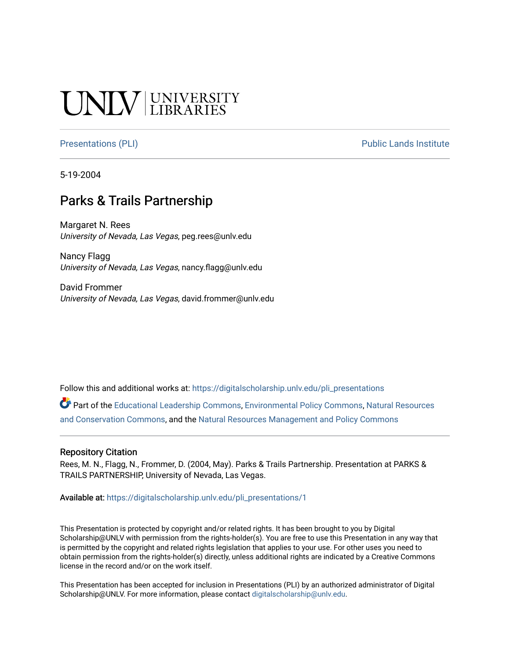#### **INIVERSITY**

[Presentations \(PLI\)](https://digitalscholarship.unlv.edu/pli_presentations) Presentations (PLI)

5-19-2004

#### Parks & Trails Partnership

Margaret N. Rees University of Nevada, Las Vegas, peg.rees@unlv.edu

Nancy Flagg University of Nevada, Las Vegas, nancy.flagg@unlv.edu

David Frommer University of Nevada, Las Vegas, david.frommer@unlv.edu

Follow this and additional works at: [https://digitalscholarship.unlv.edu/pli\\_presentations](https://digitalscholarship.unlv.edu/pli_presentations?utm_source=digitalscholarship.unlv.edu%2Fpli_presentations%2F1&utm_medium=PDF&utm_campaign=PDFCoverPages) 

Part of the [Educational Leadership Commons,](http://network.bepress.com/hgg/discipline/1230?utm_source=digitalscholarship.unlv.edu%2Fpli_presentations%2F1&utm_medium=PDF&utm_campaign=PDFCoverPages) [Environmental Policy Commons,](http://network.bepress.com/hgg/discipline/1027?utm_source=digitalscholarship.unlv.edu%2Fpli_presentations%2F1&utm_medium=PDF&utm_campaign=PDFCoverPages) [Natural Resources](http://network.bepress.com/hgg/discipline/168?utm_source=digitalscholarship.unlv.edu%2Fpli_presentations%2F1&utm_medium=PDF&utm_campaign=PDFCoverPages)  [and Conservation Commons](http://network.bepress.com/hgg/discipline/168?utm_source=digitalscholarship.unlv.edu%2Fpli_presentations%2F1&utm_medium=PDF&utm_campaign=PDFCoverPages), and the [Natural Resources Management and Policy Commons](http://network.bepress.com/hgg/discipline/170?utm_source=digitalscholarship.unlv.edu%2Fpli_presentations%2F1&utm_medium=PDF&utm_campaign=PDFCoverPages)

#### Repository Citation

Rees, M. N., Flagg, N., Frommer, D. (2004, May). Parks & Trails Partnership. Presentation at PARKS & TRAILS PARTNERSHIP, University of Nevada, Las Vegas.

Available at: [https://digitalscholarship.unlv.edu/pli\\_presentations/1](https://digitalscholarship.unlv.edu/pli_presentations/1) 

This Presentation is protected by copyright and/or related rights. It has been brought to you by Digital Scholarship@UNLV with permission from the rights-holder(s). You are free to use this Presentation in any way that is permitted by the copyright and related rights legislation that applies to your use. For other uses you need to obtain permission from the rights-holder(s) directly, unless additional rights are indicated by a Creative Commons license in the record and/or on the work itself.

This Presentation has been accepted for inclusion in Presentations (PLI) by an authorized administrator of Digital Scholarship@UNLV. For more information, please contact [digitalscholarship@unlv.edu.](mailto:digitalscholarship@unlv.edu)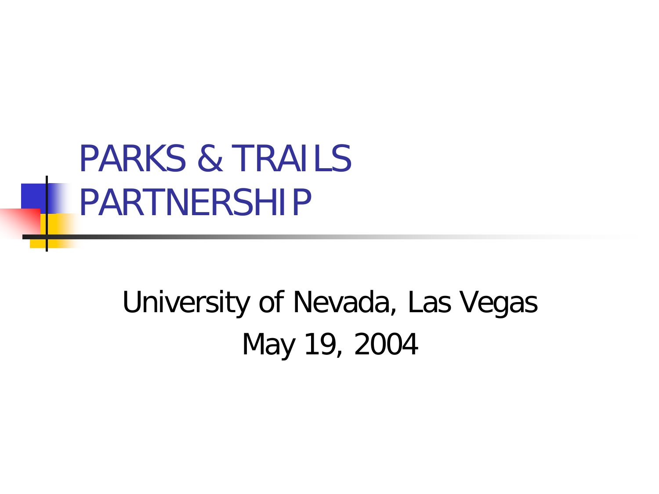#### PARKS & TRAILS PARTNERSHIP

#### University of Nevada, Las Vegas May 19, 2004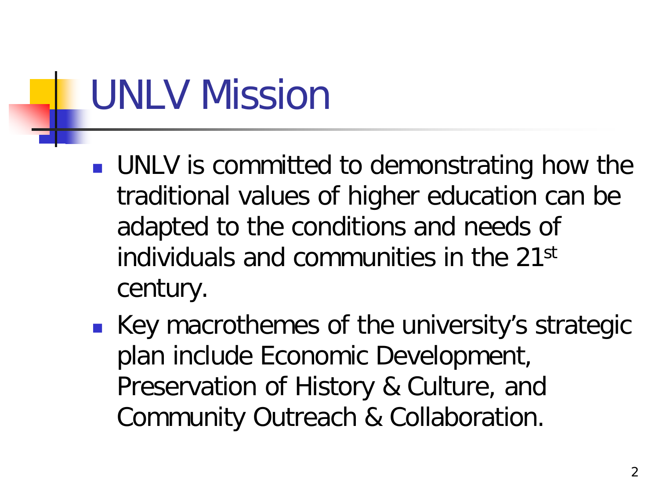## UNLV Mission

- **UNLV** is committed to demonstrating how the traditional values of higher education can be adapted to the conditions and needs of individuals and communities in the 21st century.
- Key macrothemes of the university's strategic plan include Economic Development, Preservation of History & Culture, and Community Outreach & Collaboration.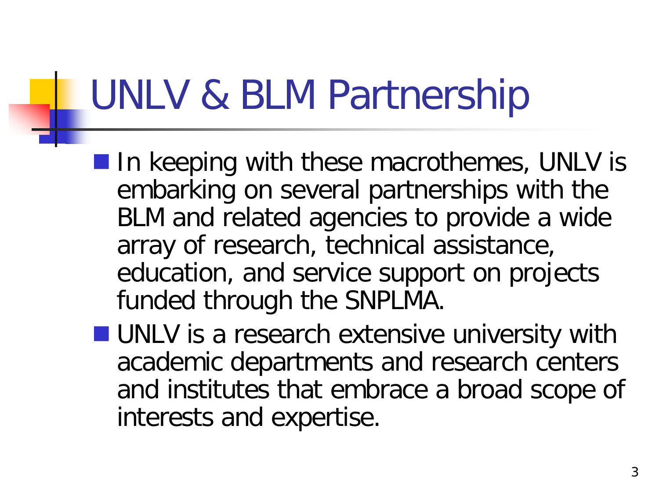## UNLV & BLM Partnership

- $\blacksquare$  In keeping with these macrothemes, UNLV is embarking on several partnerships with the BLM and related agencies to provide a wide array of research, technical assistance, education, and service support on projects funded through the SNPLMA.
- **UNLV** is a research extensive university with academic departments and research centers and institutes that embrace a broad scope of interests and expertise.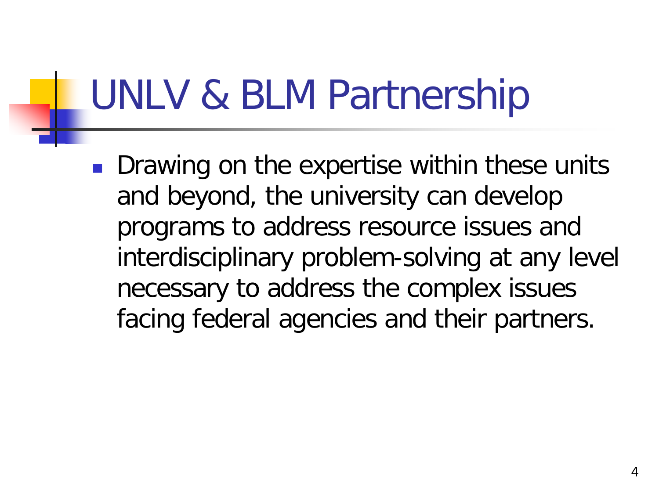## UNLV & BLM Partnership

**Drawing on the expertise within these units** and beyond, the university can develop programs to address resource issues and interdisciplinary problem-solving at any level necessary to address the complex issues facing federal agencies and their partners.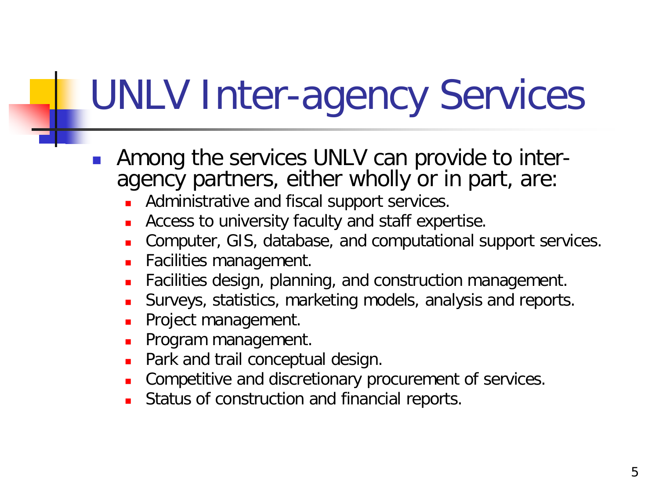## UNLV Inter-agency Services

- Among the services UNLV can provide to inter- agency partners, either wholly or in part, are:
	- Administrative and fiscal support services.
	- **Access to university faculty and staff expertise.**
	- Computer, GIS, database, and computational support services.
	- Facilities management.
	- Facilities design, planning, and construction management.
	- Surveys, statistics, marketing models, analysis and reports.
	- **Project management.**
	- **Program management.**
	- **Park and trail conceptual design.**
	- **Competitive and discretionary procurement of services.**
	- Status of construction and financial reports.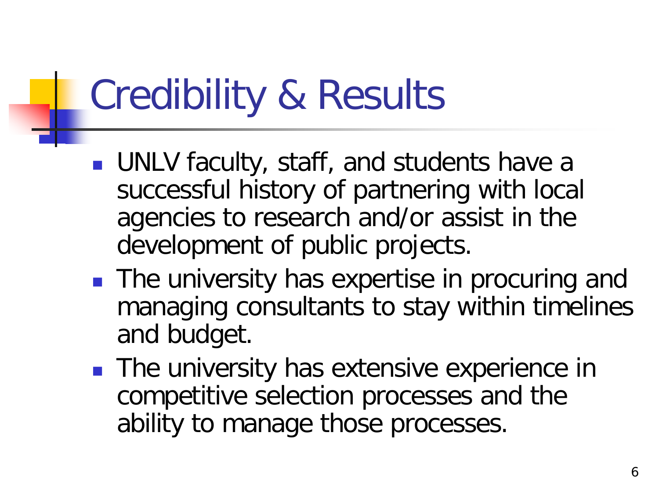## Credibility & Results

- **UNLV** faculty, staff, and students have a successful history of partnering with local agencies to research and/or assist in the development of public projects.
- **The university has expertise in procuring and** managing consultants to stay within timelines and budget.
- **The university has extensive experience in** competitive selection processes and the ability to manage those processes.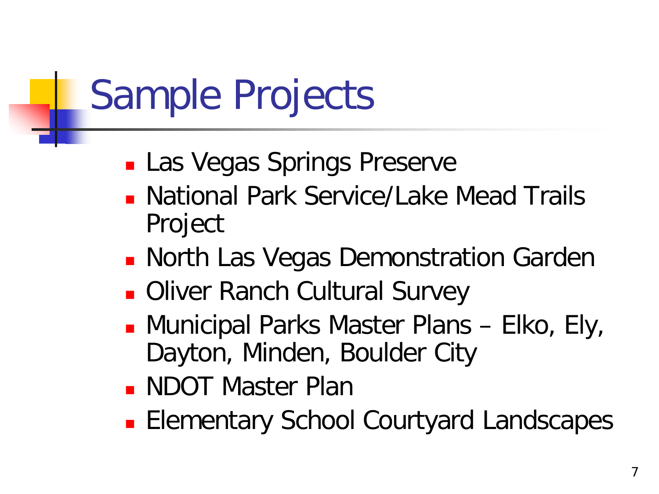## Sample Projects

- **Las Vegas Springs Preserve**
- **National Park Service/Lake Mead Trails** Project
- **North Las Vegas Demonstration Garden**
- **Diver Ranch Cultural Survey**
- Municipal Parks Master Plans Elko, Ely, Dayton, Minden, Boulder City
- **NDOT Master Plan**
- **Elementary School Courtyard Landscapes**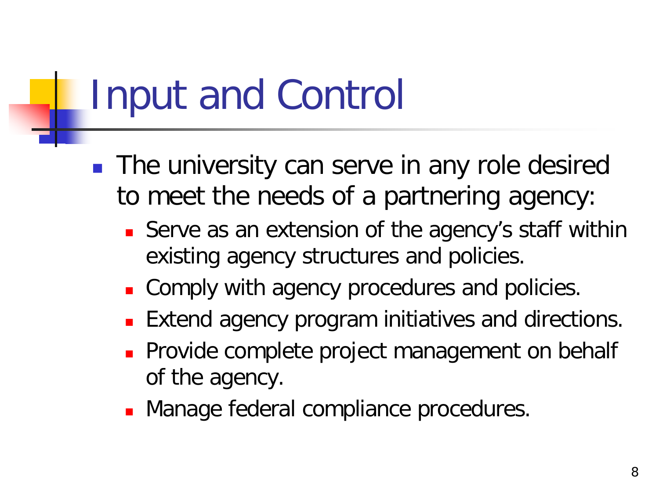## Input and Control

- **The university can serve in any role desired** to meet the needs of a partnering agency:
	- **Serve as an extension of the agency's staff within** existing agency structures and policies.
	- **Comply with agency procedures and policies.**
	- Extend agency program initiatives and directions.
	- **Provide complete project management on behalf** of the agency.
	- **Manage federal compliance procedures.**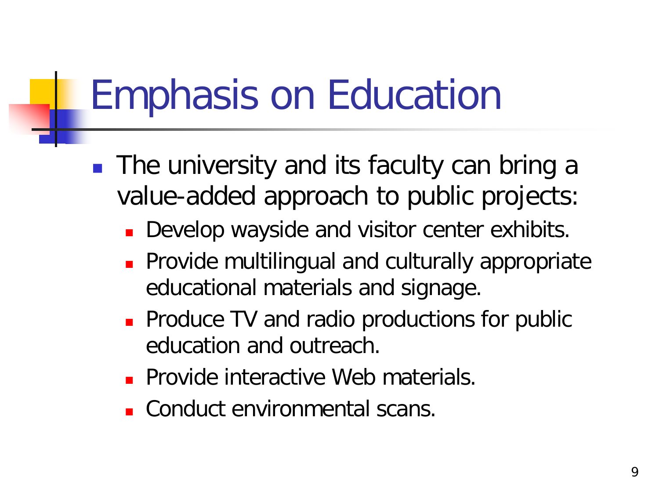## Emphasis on Education

- **The university and its faculty can bring a** value-added approach to public projects:
	- Develop wayside and visitor center exhibits.
	- **Provide multilingual and culturally appropriate** educational materials and signage.
	- **Produce TV and radio productions for public** education and outreach.
	- **Provide interactive Web materials.**
	- Conduct environmental scans.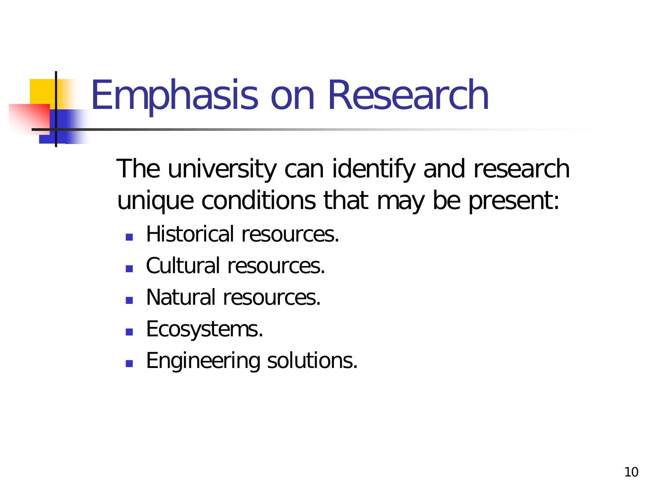## Emphasis on Research

The university can identify and research unique conditions that may be present:

- **Historical resources.**
- Cultural resources.
- **Natural resources.**
- **Ecosystems.**
- **Engineering solutions.**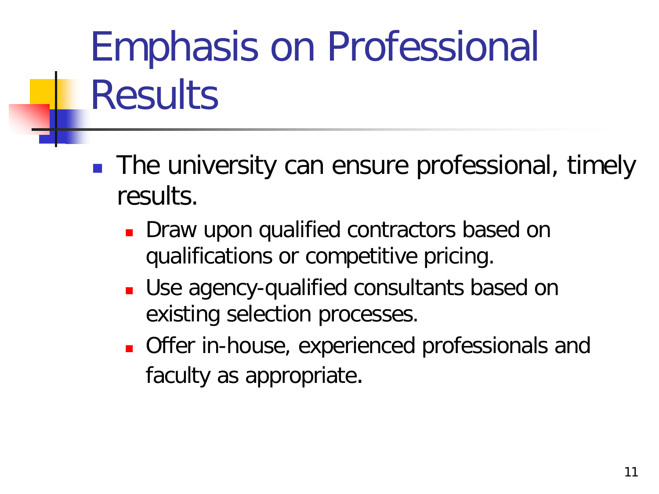# Emphasis on Professional **Results**

- **The university can ensure professional, timely** results.
	- **Draw upon qualified contractors based on** qualifications or competitive pricing.
	- Use agency-qualified consultants based on existing selection processes.
	- **Offer in-house, experienced professionals and** faculty as appropriate.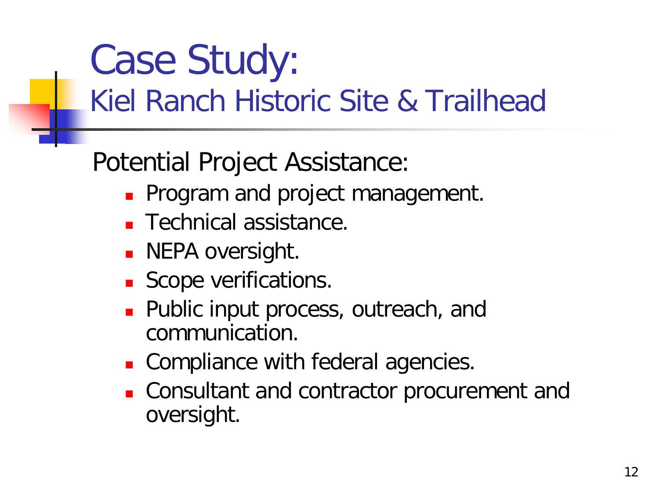# Case Study:

#### Kiel Ranch Historic Site & Trailhead

Potential Project Assistance:

- Program and project management.
- **Technical assistance.**
- **NEPA oversight.**
- Scope verifications.
- **Public input process, outreach, and** communication.
- **Compliance with federal agencies.**
- **Consultant and contractor procurement and** oversight.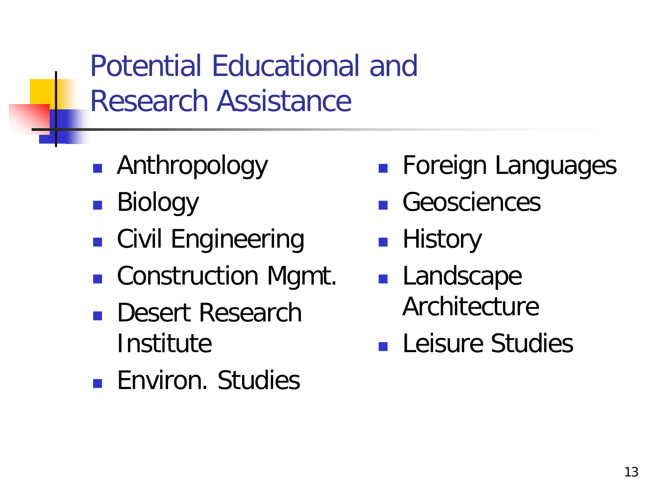Potential Educational and Research Assistance

- Anthropology
- Biology
- **Civil Engineering**
- Construction Mgmt.
- **Desert Research Institute**
- **Environ.** Studies
- **Foreign Languages**
- **Geosciences**
- **History**
- **Landscape Architecture**
- **Leisure Studies**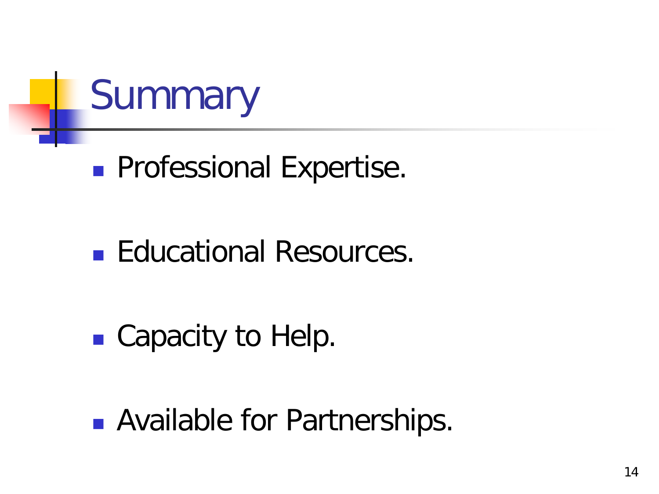

#### **Professional Expertise.**

#### ■ Educational Resources.

#### ■ Capacity to Help.

**Available for Partnerships.**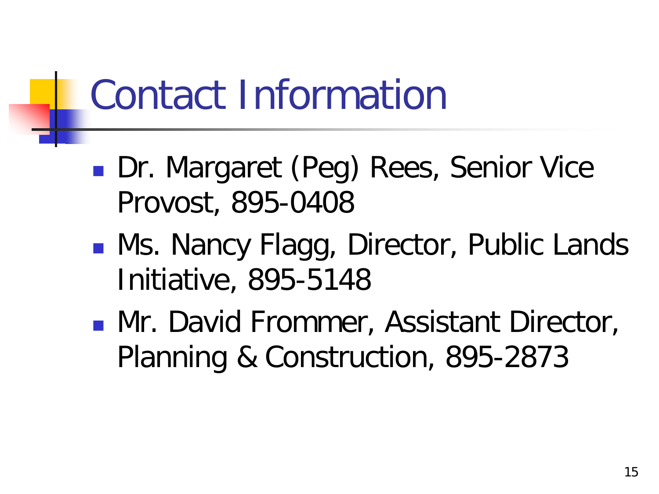## Contact Information

- **Dr. Margaret (Peg) Rees, Senior Vice** Provost, 895-0408
- **Ns. Nancy Flagg, Director, Public Lands** Initiative, 895-5148
- **Mr. David Frommer, Assistant Director,** Planning & Construction, 895-2873